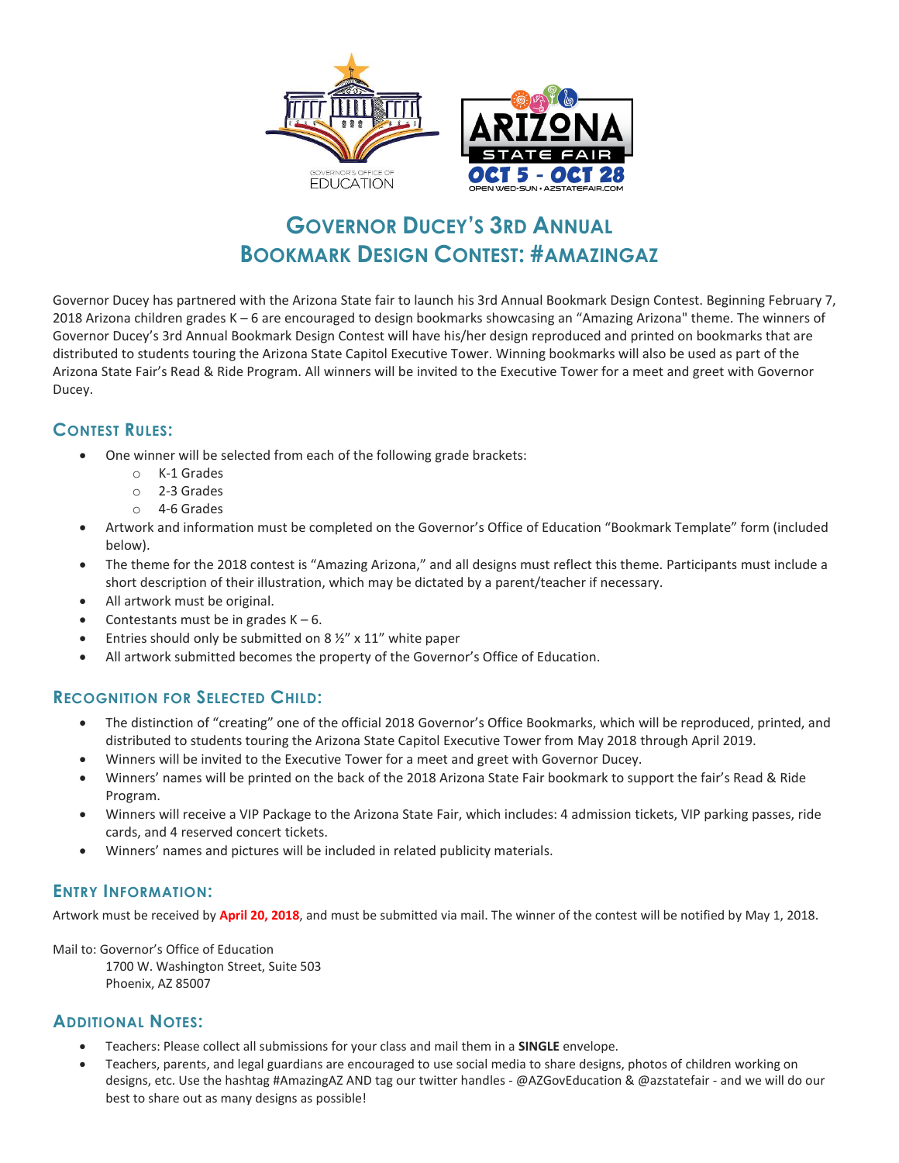

## **GOVERNOR DUCEY'S 3RD ANNUAL BOOKMARK DESIGN CONTEST: #AMAZINGAZ**

Governor Ducey has partnered with the Arizona State fair to launch his 3rd Annual Bookmark Design Contest. Beginning February 7, 2018 Arizona children grades K – 6 are encouraged to design bookmarks showcasing an "Amazing Arizona" theme. The winners of Governor Ducey's 3rd Annual Bookmark Design Contest will have his/her design reproduced and printed on bookmarks that are distributed to students touring the Arizona State Capitol Executive Tower. Winning bookmarks will also be used as part of the Arizona State Fair's Read & Ride Program. All winners will be invited to the Executive Tower for a meet and greet with Governor Ducey.

### **CONTEST RULES:**

- One winner will be selected from each of the following grade brackets:
	- o K-1 Grades
	- o 2-3 Grades
	- o 4-6 Grades
- Artwork and information must be completed on the Governor's Office of Education "Bookmark Template" form (included below).
- The theme for the 2018 contest is "Amazing Arizona," and all designs must reflect this theme. Participants must include a short description of their illustration, which may be dictated by a parent/teacher if necessary.
- All artwork must be original.
- Contestants must be in grades  $K 6$ .
- Entries should only be submitted on 8 ½" x 11" white paper
- All artwork submitted becomes the property of the Governor's Office of Education.

#### **RECOGNITION FOR SELECTED CHILD:**

- The distinction of "creating" one of the official 2018 Governor's Office Bookmarks, which will be reproduced, printed, and distributed to students touring the Arizona State Capitol Executive Tower from May 2018 through April 2019.
- Winners will be invited to the Executive Tower for a meet and greet with Governor Ducey.
- Winners' names will be printed on the back of the 2018 Arizona State Fair bookmark to support the fair's Read & Ride Program.
- Winners will receive a VIP Package to the Arizona State Fair, which includes: 4 admission tickets, VIP parking passes, ride cards, and 4 reserved concert tickets.
- Winners' names and pictures will be included in related publicity materials.

#### **ENTRY INFORMATION:**

Artwork must be received by **April 20, 2018**, and must be submitted via mail. The winner of the contest will be notified by May 1, 2018.

Mail to: Governor's Office of Education

1700 W. Washington Street, Suite 503 Phoenix, AZ 85007

#### **ADDITIONAL NOTES:**

- Teachers: Please collect all submissions for your class and mail them in a **SINGLE** envelope.
- Teachers, parents, and legal guardians are encouraged to use social media to share designs, photos of children working on designs, etc. Use the hashtag #AmazingAZ AND tag our twitter handles - @AZGovEducation & @azstatefair - and we will do our best to share out as many designs as possible!